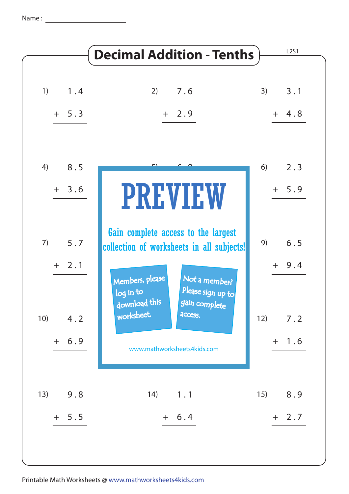